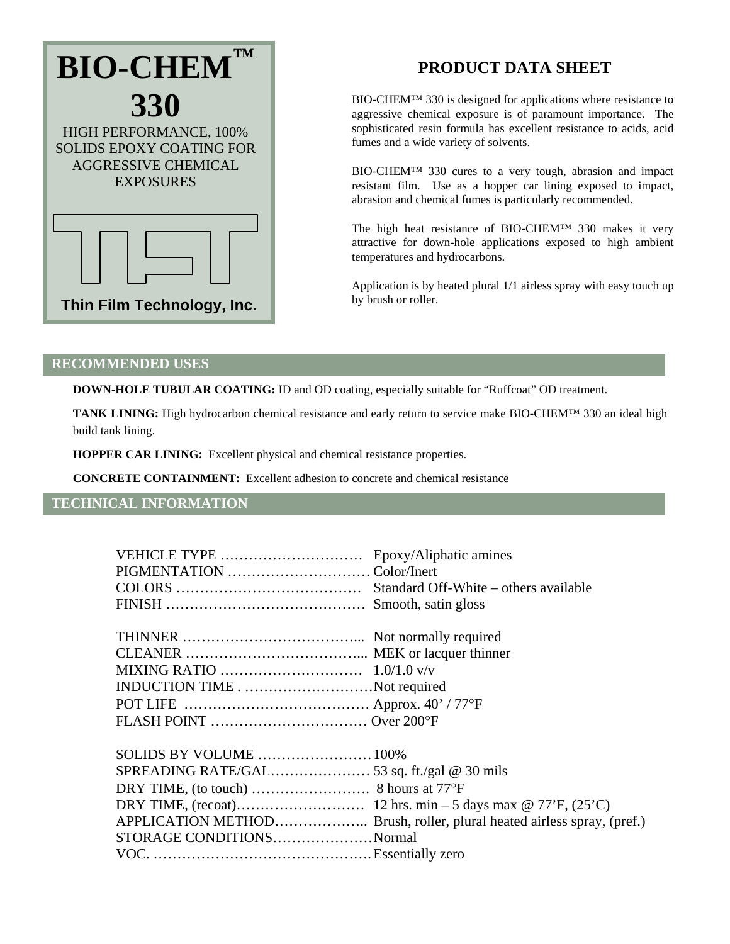

# **PRODUCT DATA SHEET**

BIO-CHEM™ 330 is designed for applications where resistance to aggressive chemical exposure is of paramount importance. The sophisticated resin formula has excellent resistance to acids, acid fumes and a wide variety of solvents.

BIO-CHEM™ 330 cures to a very tough, abrasion and impact resistant film. Use as a hopper car lining exposed to impact, abrasion and chemical fumes is particularly recommended.

The high heat resistance of BIO-CHEM™ 330 makes it very attractive for down-hole applications exposed to high ambient temperatures and hydrocarbons.

Application is by heated plural 1/1 airless spray with easy touch up by brush or roller.

#### **RECOMMENDED USES**

**DOWN-HOLE TUBULAR COATING:** ID and OD coating, especially suitable for "Ruffcoat" OD treatment.

**TANK LINING:** High hydrocarbon chemical resistance and early return to service make BIO-CHEM™ 330 an ideal high build tank lining.

**HOPPER CAR LINING:** Excellent physical and chemical resistance properties.

**CONCRETE CONTAINMENT:** Excellent adhesion to concrete and chemical resistance

## **TECHNICAL INFORMATION**

| INDUCTION TIMENot required |  |
|----------------------------|--|
|                            |  |
|                            |  |
| SOLIDS BY VOLUME  100%     |  |
|                            |  |
|                            |  |
|                            |  |
|                            |  |
| STORAGE CONDITIONSNormal   |  |
|                            |  |
|                            |  |